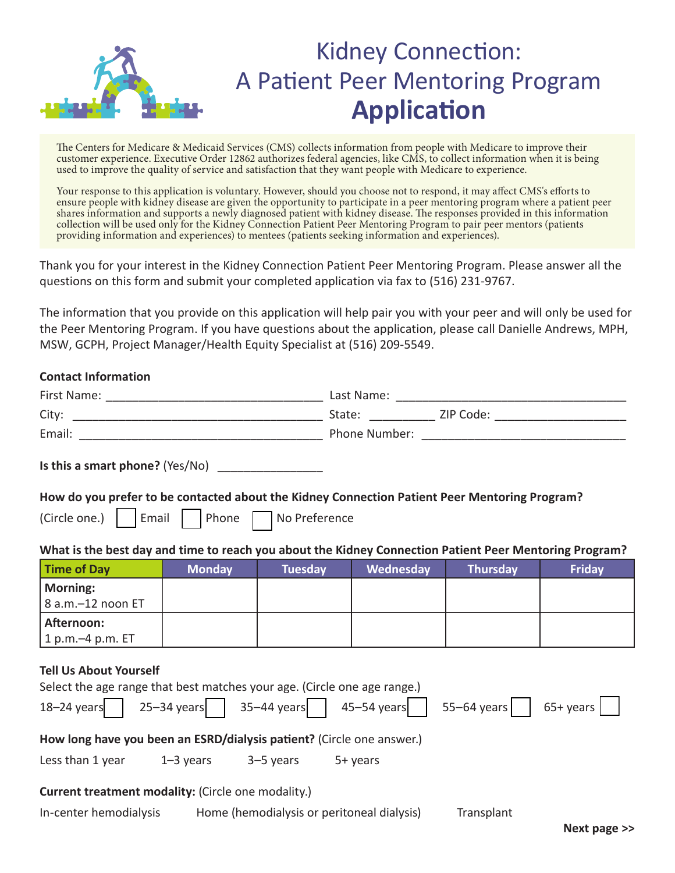

## Kidney Connection: A Patient Peer Mentoring Program **Application**

The Centers for Medicare & Medicaid Services (CMS) collects information from people with Medicare to improve their customer experience. Executive Order 12862 authorizes federal agencies, like CMS, to collect information when it is being used to improve the quality of service and satisfaction that they want people with Medicare to experience.

Your response to this application is voluntary. However, should you choose not to respond, it may affect CMS's efforts to ensure people with kidney disease are given the opportunity to participate in a peer mentoring program where a patient peer shares information and supports a newly diagnosed patient with kidney disease. The responses provided in this information collection will be used only for the Kidney Connection Patient Peer Mentoring Program to pair peer mentors (patients providing information and experiences) to mentees (patients seeking information and experiences).

Thank you for your interest in the Kidney Connection Patient Peer Mentoring Program. Please answer all the questions on this form and submit your completed application via fax to (516) 231-9767.

The information that you provide on this application will help pair you with your peer and will only be used for the Peer Mentoring Program. If you have questions about the application, please call Danielle Andrews, MPH, MSW, GCPH, Project Manager/Health Equity Specialist at (516) 209-5549.

## **Contact Information**

| Is this a smart phone? (Yes/No) $\frac{1}{\sqrt{1-\frac{1}{2}}}\left  \frac{1}{\sqrt{1-\frac{1}{2}}}\right $                                                                       |               |         |           |                 |               |  |  |  |  |
|------------------------------------------------------------------------------------------------------------------------------------------------------------------------------------|---------------|---------|-----------|-----------------|---------------|--|--|--|--|
| How do you prefer to be contacted about the Kidney Connection Patient Peer Mentoring Program?                                                                                      |               |         |           |                 |               |  |  |  |  |
| (Circle one.)   Email   Phone   No Preference                                                                                                                                      |               |         |           |                 |               |  |  |  |  |
| What is the best day and time to reach you about the Kidney Connection Patient Peer Mentoring Program?                                                                             |               |         |           |                 |               |  |  |  |  |
| <b>Time of Day</b>                                                                                                                                                                 | <b>Monday</b> | Tuesday | Wednesday | <b>Thursday</b> | <b>Friday</b> |  |  |  |  |
| <b>Morning:</b><br>8 a.m.-12 noon ET                                                                                                                                               |               |         |           |                 |               |  |  |  |  |
| Afternoon:<br>1 p.m.-4 p.m. ET                                                                                                                                                     |               |         |           |                 |               |  |  |  |  |
| <b>Tell Us About Yourself</b><br>Select the age range that best matches your age. (Circle one age range.)<br>18-24 years 25-34 years 35-44 years 45-54 years 55-64 years 65+ years |               |         |           |                 |               |  |  |  |  |
| How long have you been an ESRD/dialysis patient? (Circle one answer.)                                                                                                              |               |         |           |                 |               |  |  |  |  |
| Less than $1$ year $1-3$ years $3-5$ years $5+$ years                                                                                                                              |               |         |           |                 |               |  |  |  |  |
| Current treatment modality: (Circle one modality.)<br>In-center hemodialysis Home (hemodialysis or peritoneal dialysis)<br>Transplant<br>$Now$ none $\sim$                         |               |         |           |                 |               |  |  |  |  |